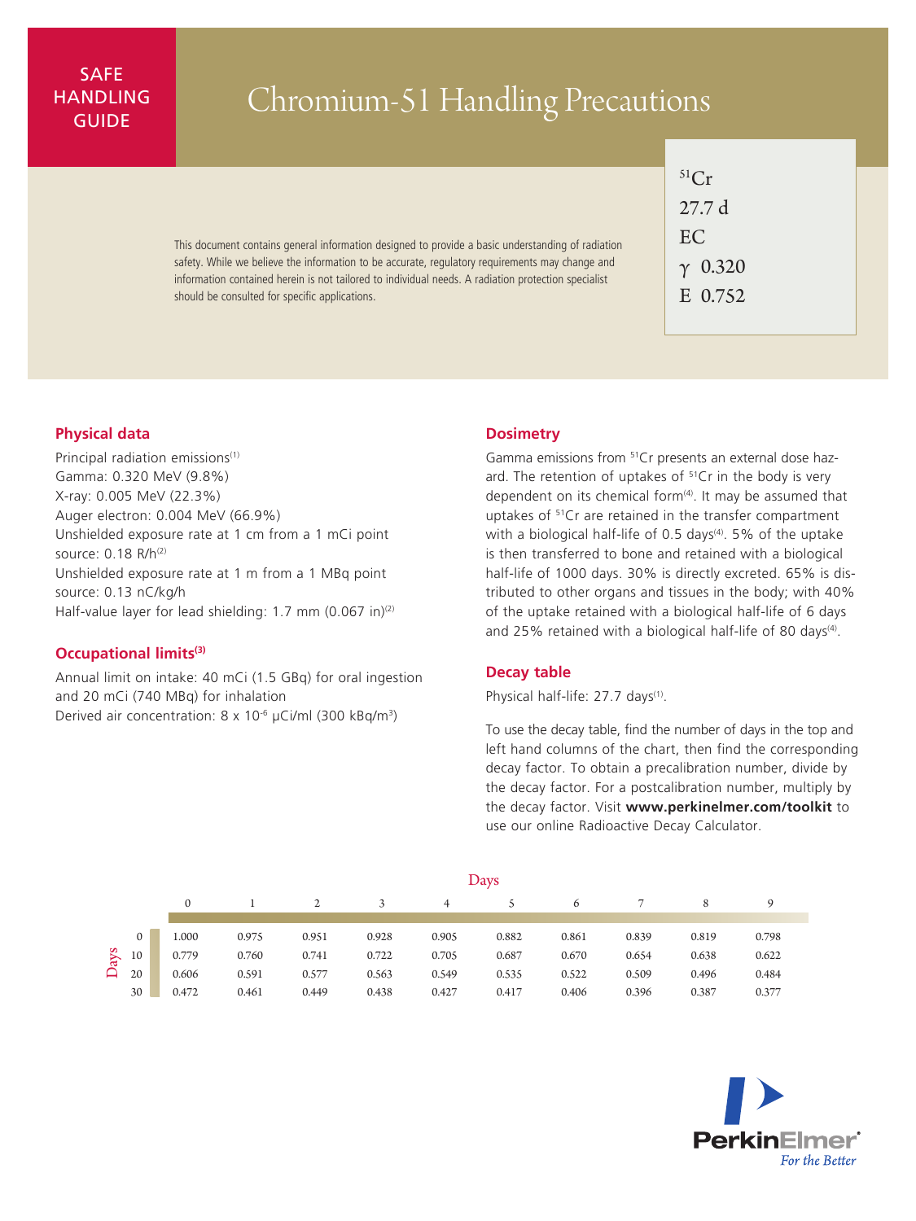# SAFE **HANDLING**

# ANDLING | Chromium-51 Handling Precautions

This document contains general information designed to provide a basic understanding of radiation safety. While we believe the information to be accurate, regulatory requirements may change and information contained herein is not tailored to individual needs. A radiation protection specialist should be consulted for specific applications.

| ${}^{51}Cr$ |                |  |  |  |  |  |  |  |
|-------------|----------------|--|--|--|--|--|--|--|
|             | 27.7 d         |  |  |  |  |  |  |  |
|             | EC.            |  |  |  |  |  |  |  |
|             | $\gamma$ 0.320 |  |  |  |  |  |  |  |
|             | E 0.752        |  |  |  |  |  |  |  |

# **Physical data**

Principal radiation emissions<sup>(1)</sup> Gamma: 0.320 MeV (9.8%) X-ray: 0.005 MeV (22.3%) Auger electron: 0.004 MeV (66.9%) Unshielded exposure rate at 1 cm from a 1 mCi point source: 0.18 R/h(2) Unshielded exposure rate at 1 m from a 1 MBq point source: 0.13 nC/kg/h Half-value layer for lead shielding: 1.7 mm (0.067 in)<sup>(2)</sup>

## **Occupational limits(3)**

Annual limit on intake: 40 mCi (1.5 GBq) for oral ingestion and 20 mCi (740 MBq) for inhalation Derived air concentration: 8 x 10<sup>-6</sup> µCi/ml (300 kBq/m<sup>3</sup>)

#### **Dosimetry**

Gamma emissions from <sup>51</sup>Cr presents an external dose hazard. The retention of uptakes of  $5^{\circ}$ Cr in the body is very dependent on its chemical form $(4)$ . It may be assumed that uptakes of <sup>51</sup>Cr are retained in the transfer compartment with a biological half-life of 0.5 days<sup>(4)</sup>. 5% of the uptake is then transferred to bone and retained with a biological half-life of 1000 days. 30% is directly excreted. 65% is distributed to other organs and tissues in the body; with 40% of the uptake retained with a biological half-life of 6 days and 25% retained with a biological half-life of 80 days<sup>(4)</sup>.

## **Decay table**

Physical half-life: 27.7 days<sup>(1)</sup>.

To use the decay table, find the number of days in the top and left hand columns of the chart, then find the corresponding decay factor. To obtain a precalibration number, divide by the decay factor. For a postcalibration number, multiply by the decay factor. Visit **www.perkinelmer.com/toolkit** to use our online Radioactive Decay Calculator.

|      |              | Days         |       |       |       |       |       |       |       |       |             |  |
|------|--------------|--------------|-------|-------|-------|-------|-------|-------|-------|-------|-------------|--|
|      |              | $\mathbf{0}$ |       |       |       | 4     |       | 6     |       | 8     | $\mathbf Q$ |  |
|      |              |              |       |       |       |       |       |       |       |       |             |  |
| Days | $\mathbf{0}$ | 1.000        | 0.975 | 0.951 | 0.928 | 0.905 | 0.882 | 0.861 | 0.839 | 0.819 | 0.798       |  |
|      | 10           | 0.779        | 0.760 | 0.741 | 0.722 | 0.705 | 0.687 | 0.670 | 0.654 | 0.638 | 0.622       |  |
|      | 20           | 0.606        | 0.591 | 0.577 | 0.563 | 0.549 | 0.535 | 0.522 | 0.509 | 0.496 | 0.484       |  |
|      | 30           | 0.472        | 0.461 | 0.449 | 0.438 | 0.427 | 0.417 | 0.406 | 0.396 | 0.387 | 0.377       |  |